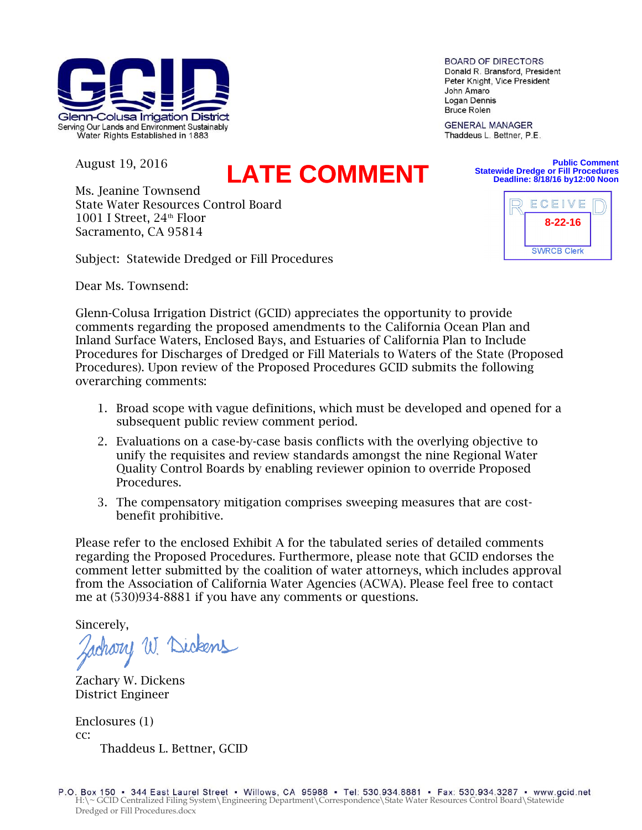

August 19, 2016

## **LATE COMMENT**

Ms. Jeanine Townsend State Water Resources Control Board 1001 I Street,  $24<sup>th</sup>$  Floor Sacramento, CA 95814

Subject: Statewide Dredged or Fill Procedures

Dear Ms. Townsend:

Glenn-Colusa Irrigation District (GCID) appreciates the opportunity to provide comments regarding the proposed amendments to the California Ocean Plan and Inland Surface Waters, Enclosed Bays, and Estuaries of California Plan to Include Procedures for Discharges of Dredged or Fill Materials to Waters of the State (Proposed Procedures). Upon review of the Proposed Procedures GCID submits the following overarching comments:

- 1. Broad scope with vague definitions, which must be developed and opened for a subsequent public review comment period.
- 2. Evaluations on a case-by-case basis conflicts with the overlying objective to unify the requisites and review standards amongst the nine Regional Water Quality Control Boards by enabling reviewer opinion to override Proposed Procedures.
- 3. The compensatory mitigation comprises sweeping measures that are costbenefit prohibitive.

Please refer to the enclosed Exhibit A for the tabulated series of detailed comments regarding the Proposed Procedures. Furthermore, please note that GCID endorses the comment letter submitted by the coalition of water attorneys, which includes approval from the Association of California Water Agencies (ACWA). Please feel free to contact me at (530)934-8881 if you have any comments or questions.

Sincerely,

chory W. Dickens

Zachary W. Dickens District Engineer

Enclosures (1) cc: Thaddeus L. Bettner, GCID

**BOARD OF DIRECTORS** Donald R. Bransford, President Peter Knight, Vice President John Amaro Logan Dennis **Bruce Rolen** 

**GENERAL MANAGER** Thaddeus L. Bettner, P.E.



**Public Comment**